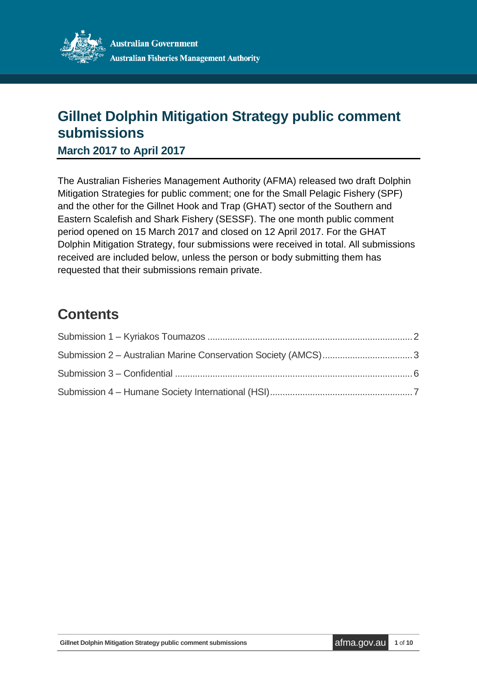

# **Gillnet Dolphin Mitigation Strategy public comment submissions**

**March 2017 to April 2017**

The Australian Fisheries Management Authority (AFMA) released two draft Dolphin Mitigation Strategies for public comment; one for the Small Pelagic Fishery (SPF) and the other for the Gillnet Hook and Trap (GHAT) sector of the Southern and Eastern Scalefish and Shark Fishery (SESSF). The one month public comment period opened on 15 March 2017 and closed on 12 April 2017. For the GHAT Dolphin Mitigation Strategy, four submissions were received in total. All submissions received are included below, unless the person or body submitting them has requested that their submissions remain private.

# **Contents**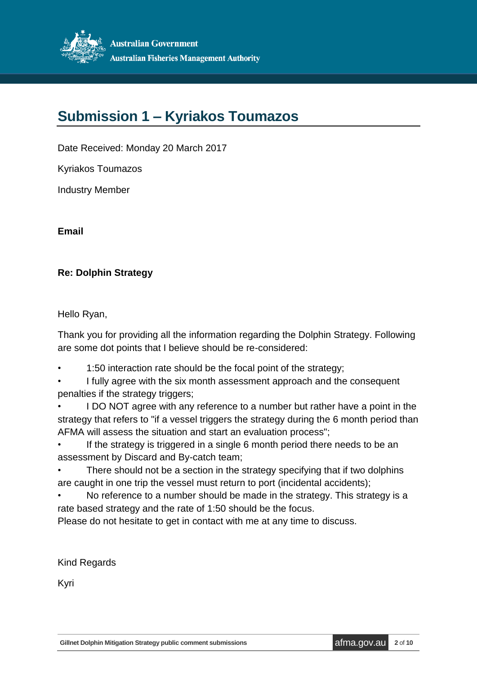

# <span id="page-1-0"></span>**Submission 1 – Kyriakos Toumazos**

Date Received: Monday 20 March 2017

Kyriakos Toumazos

Industry Member

**Email** 

## **Re: Dolphin Strategy**

Hello Ryan,

Thank you for providing all the information regarding the Dolphin Strategy. Following are some dot points that I believe should be re-considered:

- 1:50 interaction rate should be the focal point of the strategy;
- I fully agree with the six month assessment approach and the consequent penalties if the strategy triggers;

• I DO NOT agree with any reference to a number but rather have a point in the strategy that refers to "if a vessel triggers the strategy during the 6 month period than AFMA will assess the situation and start an evaluation process";

If the strategy is triggered in a single 6 month period there needs to be an assessment by Discard and By-catch team;

There should not be a section in the strategy specifying that if two dolphins are caught in one trip the vessel must return to port (incidental accidents);

• No reference to a number should be made in the strategy. This strategy is a rate based strategy and the rate of 1:50 should be the focus.

Please do not hesitate to get in contact with me at any time to discuss.

Kind Regards

Kyri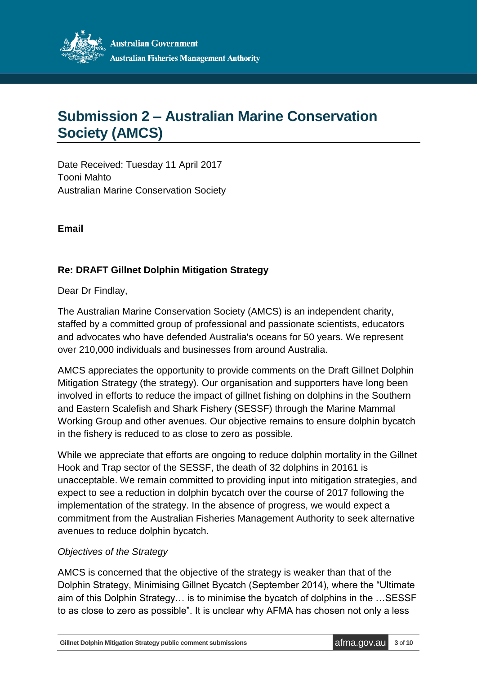

# <span id="page-2-0"></span>**Submission 2 – Australian Marine Conservation Society (AMCS)**

Date Received: Tuesday 11 April 2017 Tooni Mahto Australian Marine Conservation Society

**Email** 

## **Re: DRAFT Gillnet Dolphin Mitigation Strategy**

Dear Dr Findlay,

The Australian Marine Conservation Society (AMCS) is an independent charity, staffed by a committed group of professional and passionate scientists, educators and advocates who have defended Australia's oceans for 50 years. We represent over 210,000 individuals and businesses from around Australia.

AMCS appreciates the opportunity to provide comments on the Draft Gillnet Dolphin Mitigation Strategy (the strategy). Our organisation and supporters have long been involved in efforts to reduce the impact of gillnet fishing on dolphins in the Southern and Eastern Scalefish and Shark Fishery (SESSF) through the Marine Mammal Working Group and other avenues. Our objective remains to ensure dolphin bycatch in the fishery is reduced to as close to zero as possible.

While we appreciate that efforts are ongoing to reduce dolphin mortality in the Gillnet Hook and Trap sector of the SESSF, the death of 32 dolphins in 20161 is unacceptable. We remain committed to providing input into mitigation strategies, and expect to see a reduction in dolphin bycatch over the course of 2017 following the implementation of the strategy. In the absence of progress, we would expect a commitment from the Australian Fisheries Management Authority to seek alternative avenues to reduce dolphin bycatch.

#### *Objectives of the Strategy*

AMCS is concerned that the objective of the strategy is weaker than that of the Dolphin Strategy, Minimising Gillnet Bycatch (September 2014), where the "Ultimate aim of this Dolphin Strategy… is to minimise the bycatch of dolphins in the …SESSF to as close to zero as possible". It is unclear why AFMA has chosen not only a less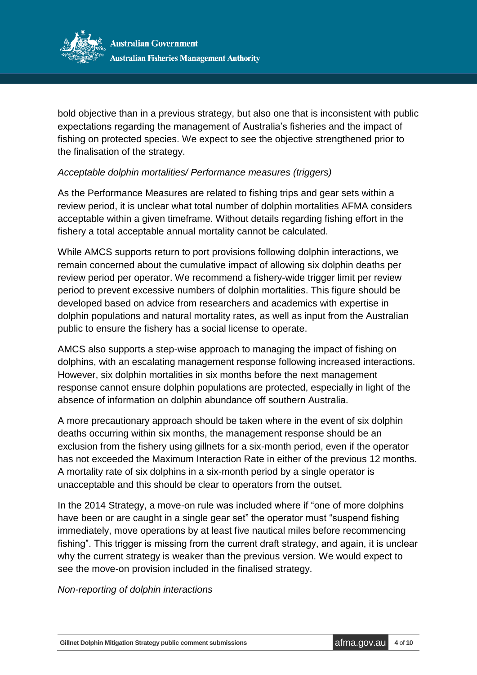

bold objective than in a previous strategy, but also one that is inconsistent with public expectations regarding the management of Australia's fisheries and the impact of fishing on protected species. We expect to see the objective strengthened prior to the finalisation of the strategy.

## *Acceptable dolphin mortalities/ Performance measures (triggers)*

As the Performance Measures are related to fishing trips and gear sets within a review period, it is unclear what total number of dolphin mortalities AFMA considers acceptable within a given timeframe. Without details regarding fishing effort in the fishery a total acceptable annual mortality cannot be calculated.

While AMCS supports return to port provisions following dolphin interactions, we remain concerned about the cumulative impact of allowing six dolphin deaths per review period per operator. We recommend a fishery-wide trigger limit per review period to prevent excessive numbers of dolphin mortalities. This figure should be developed based on advice from researchers and academics with expertise in dolphin populations and natural mortality rates, as well as input from the Australian public to ensure the fishery has a social license to operate.

AMCS also supports a step-wise approach to managing the impact of fishing on dolphins, with an escalating management response following increased interactions. However, six dolphin mortalities in six months before the next management response cannot ensure dolphin populations are protected, especially in light of the absence of information on dolphin abundance off southern Australia.

A more precautionary approach should be taken where in the event of six dolphin deaths occurring within six months, the management response should be an exclusion from the fishery using gillnets for a six-month period, even if the operator has not exceeded the Maximum Interaction Rate in either of the previous 12 months. A mortality rate of six dolphins in a six-month period by a single operator is unacceptable and this should be clear to operators from the outset.

In the 2014 Strategy, a move-on rule was included where if "one of more dolphins have been or are caught in a single gear set" the operator must "suspend fishing immediately, move operations by at least five nautical miles before recommencing fishing". This trigger is missing from the current draft strategy, and again, it is unclear why the current strategy is weaker than the previous version. We would expect to see the move-on provision included in the finalised strategy.

#### *Non-reporting of dolphin interactions*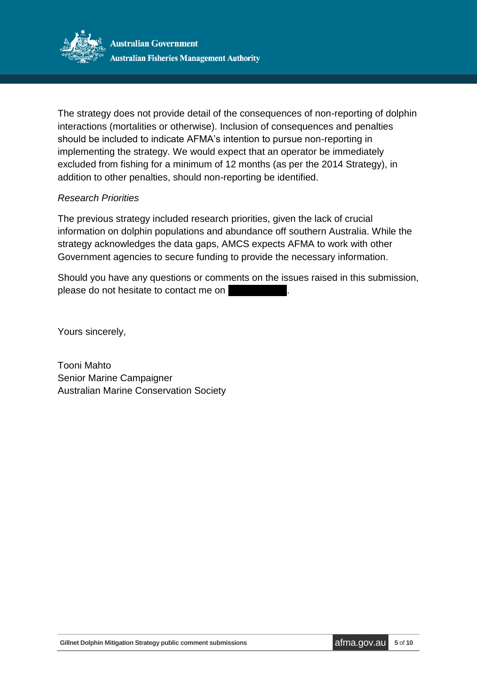

The strategy does not provide detail of the consequences of non-reporting of dolphin interactions (mortalities or otherwise). Inclusion of consequences and penalties should be included to indicate AFMA's intention to pursue non-reporting in implementing the strategy. We would expect that an operator be immediately excluded from fishing for a minimum of 12 months (as per the 2014 Strategy), in addition to other penalties, should non-reporting be identified.

#### *Research Priorities*

The previous strategy included research priorities, given the lack of crucial information on dolphin populations and abundance off southern Australia. While the strategy acknowledges the data gaps, AMCS expects AFMA to work with other Government agencies to secure funding to provide the necessary information.

Should you have any questions or comments on the issues raised in this submission, please do not hesitate to contact me on

Yours sincerely,

Tooni Mahto Senior Marine Campaigner Australian Marine Conservation Society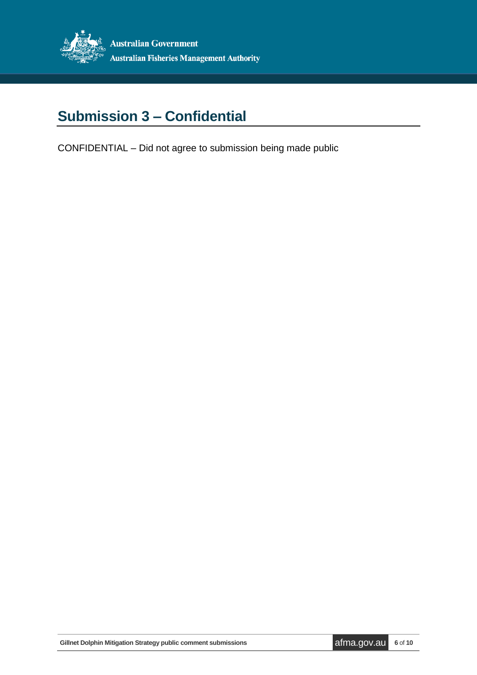

# <span id="page-5-0"></span>**Submission 3 – Confidential**

CONFIDENTIAL – Did not agree to submission being made public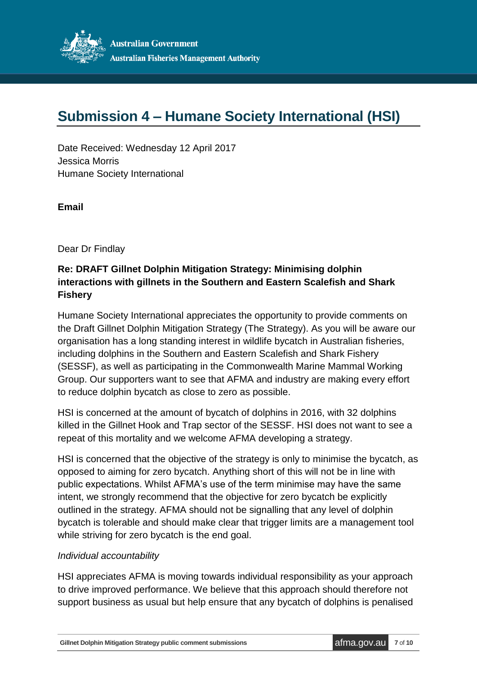

# <span id="page-6-0"></span>**Submission 4 – Humane Society International (HSI)**

Date Received: Wednesday 12 April 2017 Jessica Morris Humane Society International

**Email** 

Dear Dr Findlay

## **Re: DRAFT Gillnet Dolphin Mitigation Strategy: Minimising dolphin interactions with gillnets in the Southern and Eastern Scalefish and Shark Fishery**

Humane Society International appreciates the opportunity to provide comments on the Draft Gillnet Dolphin Mitigation Strategy (The Strategy). As you will be aware our organisation has a long standing interest in wildlife bycatch in Australian fisheries, including dolphins in the Southern and Eastern Scalefish and Shark Fishery (SESSF), as well as participating in the Commonwealth Marine Mammal Working Group. Our supporters want to see that AFMA and industry are making every effort to reduce dolphin bycatch as close to zero as possible.

HSI is concerned at the amount of bycatch of dolphins in 2016, with 32 dolphins killed in the Gillnet Hook and Trap sector of the SESSF. HSI does not want to see a repeat of this mortality and we welcome AFMA developing a strategy.

HSI is concerned that the objective of the strategy is only to minimise the bycatch, as opposed to aiming for zero bycatch. Anything short of this will not be in line with public expectations. Whilst AFMA's use of the term minimise may have the same intent, we strongly recommend that the objective for zero bycatch be explicitly outlined in the strategy. AFMA should not be signalling that any level of dolphin bycatch is tolerable and should make clear that trigger limits are a management tool while striving for zero bycatch is the end goal.

#### *Individual accountability*

HSI appreciates AFMA is moving towards individual responsibility as your approach to drive improved performance. We believe that this approach should therefore not support business as usual but help ensure that any bycatch of dolphins is penalised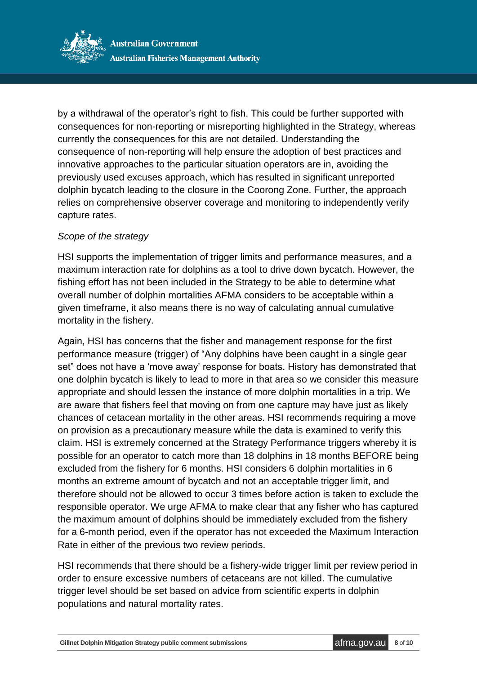

by a withdrawal of the operator's right to fish. This could be further supported with consequences for non-reporting or misreporting highlighted in the Strategy, whereas currently the consequences for this are not detailed. Understanding the consequence of non-reporting will help ensure the adoption of best practices and innovative approaches to the particular situation operators are in, avoiding the previously used excuses approach, which has resulted in significant unreported dolphin bycatch leading to the closure in the Coorong Zone. Further, the approach relies on comprehensive observer coverage and monitoring to independently verify capture rates.

#### *Scope of the strategy*

HSI supports the implementation of trigger limits and performance measures, and a maximum interaction rate for dolphins as a tool to drive down bycatch. However, the fishing effort has not been included in the Strategy to be able to determine what overall number of dolphin mortalities AFMA considers to be acceptable within a given timeframe, it also means there is no way of calculating annual cumulative mortality in the fishery.

Again, HSI has concerns that the fisher and management response for the first performance measure (trigger) of "Any dolphins have been caught in a single gear set" does not have a 'move away' response for boats. History has demonstrated that one dolphin bycatch is likely to lead to more in that area so we consider this measure appropriate and should lessen the instance of more dolphin mortalities in a trip. We are aware that fishers feel that moving on from one capture may have just as likely chances of cetacean mortality in the other areas. HSI recommends requiring a move on provision as a precautionary measure while the data is examined to verify this claim. HSI is extremely concerned at the Strategy Performance triggers whereby it is possible for an operator to catch more than 18 dolphins in 18 months BEFORE being excluded from the fishery for 6 months. HSI considers 6 dolphin mortalities in 6 months an extreme amount of bycatch and not an acceptable trigger limit, and therefore should not be allowed to occur 3 times before action is taken to exclude the responsible operator. We urge AFMA to make clear that any fisher who has captured the maximum amount of dolphins should be immediately excluded from the fishery for a 6-month period, even if the operator has not exceeded the Maximum Interaction Rate in either of the previous two review periods.

HSI recommends that there should be a fishery-wide trigger limit per review period in order to ensure excessive numbers of cetaceans are not killed. The cumulative trigger level should be set based on advice from scientific experts in dolphin populations and natural mortality rates.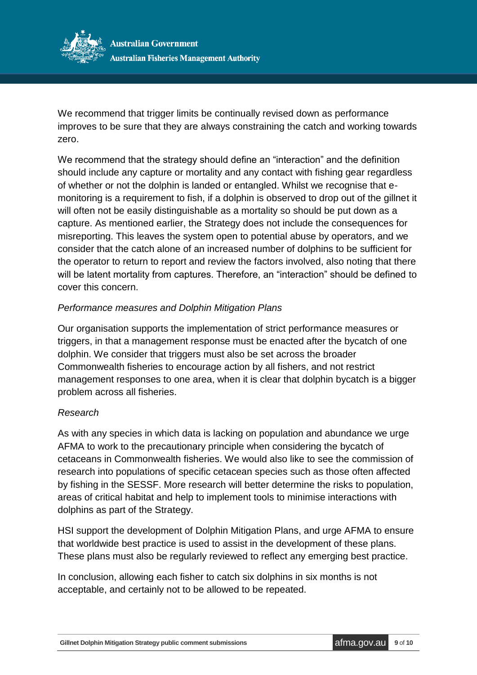

We recommend that trigger limits be continually revised down as performance improves to be sure that they are always constraining the catch and working towards zero.

We recommend that the strategy should define an "interaction" and the definition should include any capture or mortality and any contact with fishing gear regardless of whether or not the dolphin is landed or entangled. Whilst we recognise that emonitoring is a requirement to fish, if a dolphin is observed to drop out of the gillnet it will often not be easily distinguishable as a mortality so should be put down as a capture. As mentioned earlier, the Strategy does not include the consequences for misreporting. This leaves the system open to potential abuse by operators, and we consider that the catch alone of an increased number of dolphins to be sufficient for the operator to return to report and review the factors involved, also noting that there will be latent mortality from captures. Therefore, an "interaction" should be defined to cover this concern.

## *Performance measures and Dolphin Mitigation Plans*

Our organisation supports the implementation of strict performance measures or triggers, in that a management response must be enacted after the bycatch of one dolphin. We consider that triggers must also be set across the broader Commonwealth fisheries to encourage action by all fishers, and not restrict management responses to one area, when it is clear that dolphin bycatch is a bigger problem across all fisheries.

## *Research*

As with any species in which data is lacking on population and abundance we urge AFMA to work to the precautionary principle when considering the bycatch of cetaceans in Commonwealth fisheries. We would also like to see the commission of research into populations of specific cetacean species such as those often affected by fishing in the SESSF. More research will better determine the risks to population, areas of critical habitat and help to implement tools to minimise interactions with dolphins as part of the Strategy.

HSI support the development of Dolphin Mitigation Plans, and urge AFMA to ensure that worldwide best practice is used to assist in the development of these plans. These plans must also be regularly reviewed to reflect any emerging best practice.

In conclusion, allowing each fisher to catch six dolphins in six months is not acceptable, and certainly not to be allowed to be repeated.